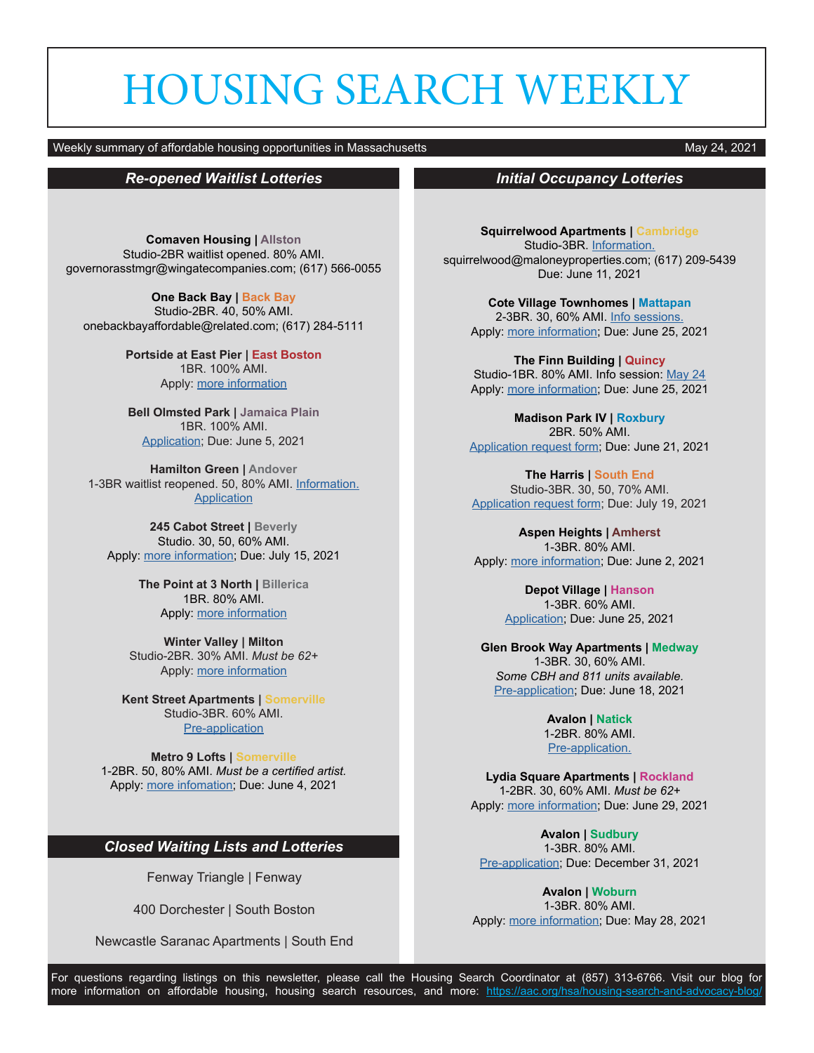# HOUSING SEARCH WEEKLY

### Weekly summary of affordable housing opportunities in Massachusetts May 2001 and May 24, 2021

# *Re-opened Waitlist Lotteries*

**Comaven Housing | Allston** Studio-2BR waitlist opened. 80% AMI. governorasstmgr@wingatecompanies.com; (617) 566-0055

**One Back Bay | Back Bay** Studio-2BR. 40, 50% AMI. onebackbayaffordable@related.com; (617) 284-5111

> **Portside at East Pier | East Boston** 1BR. 100% AMI. Apply: [more information](https://www.maloneyrealestate.com/portside-first-come-first-serve-opportunity)

**Bell Olmsted Park | Jamaica Plain** 1BR. 100% AMI. [Application](https://www.boston.gov/sites/default/files/metrolist_pdf/2020/07/waiting-list-application-2020.pdf); Due: June 5, 2021

**Hamilton Green | Andover** 1-3BR waitlist reopened. 50, 80% AMI. [Information.](https://www.maloneyrealestate.com/affordable-Hamilton-Green-Apartments-Andover) **[Application](https://b386363e680359b5cc19-97ec1140354919029c7985d2568f0e82.ssl.cf1.rackcdn.com/ckeditor_assets/attachments/root/220141/Waiting_List_Application_-_Hamilton_Green.pdf)** 

**245 Cabot Street | Beverly** Studio. 30, 50, 60% AMI. Apply: [more information;](https://www.maloneyrealestate.com/cabot-affordable-housing-YMCA-beverly) Due: July 15, 2021

> **The Point at 3 North | Billerica** 1BR. 80% AMI. Apply: [more information](https://sebhousing.com/property/the-point-at-3-north/)

**Winter Valley | Milton** Studio-2BR. 30% AMI. *Must be 62+* Apply: [more information](http://www.mreinc.org/winter.html)

**Kent Street Apartments | Somerville** Studio-3BR. 60% AMI. [Pre-application](https://cdngeneral.rentcafe.com/dmslivecafe/3/436785/3_436785_6148385.pdf)

**Metro 9 Lofts | Somerville** 1-2BR. 50, 80% AMI. *Must be a certified artist.* Apply: [more infomation](https://www.baystatebanner.com/real-estate-listing/metro-9-affordable-artist-housing-9-medford-st-somerville-ma/); Due: June 4, 2021

# *Closed Waiting Lists and Lotteries*

Fenway Triangle | Fenway

400 Dorchester | South Boston

Newcastle Saranac Apartments | South End

## *Initial Occupancy Lotteries*

**Squirrelwood Apartments | Cambridge** Studio-3BR. [Information.](https://www.squirrelwoodapartments.com/rentalapplicationinformation.aspx) squirrelwood@maloneyproperties.com; (617) 209-5439 Due: June 11, 2021

**Cote Village Townhomes | Mattapan** 2-3BR. 30, 60% AMI. [Info sessions.](https://cotevillageth.com) Apply: [more information](https://www.boston.gov/sites/default/files/metrolist_pdf/2020/07/Cote Village Townhomes BFHC Approved Ad.pdf); Due: June 25, 2021

**The Finn Building | Quincy** Studio-1BR. 80% AMI. Info session: [May 24](https://www.youtube.com/watch?v=FHjsdZs4e6o) Apply: [more information](https://sebhousing.com/property/the-finn-building/); Due: June 25, 2021

**Madison Park IV | Roxbury** 2BR. 50% AMI. [Application request form](https://docs.google.com/forms/d/e/1FAIpQLSfd_TswBa1OYDNLc4Y_KvpYeX9VyH6NhJDZOk5JN-Me5EiZhw/viewform); Due: June 21, 2021

**The Harris | South End** Studio-3BR. 30, 50, 70% AMI. [Application request form](https://docs.google.com/forms/d/e/1FAIpQLSc9e87ZbKqLyz6X-2vjbJKAVYluppo4T-2cOpiCjA4aruP8nw/viewform); Due: July 19, 2021

**Aspen Heights | Amherst** 1-3BR. 80% AMI. Apply: [more information;](https://sebhousing.com/property/aspen-heights/) Due: June 2, 2021

> **Depot Village | Hanson** 1-3BR. 60% AMI. [Application;](https://cdngeneral.rentcafe.com/dmslivecafe/3/1247947/3_1247947_11850718.pdf) Due: June 25, 2021

**Glen Brook Way Apartments | Medway** 1-3BR. 30, 60% AMI. *Some CBH and 811 units available.* [Pre-application;](https://metrowestcd.org/glenbrookway-app/) Due: June 18, 2021

> **Avalon | Natick** 1-2BR. 80% AMI. [Pre-application.](https://www.boston.gov/sites/default/files/metrolist_pdf/2020/07/avalon-natick-questionnaire.pdf)

**Lydia Square Apartments | Rockland** 1-2BR. 30, 60% AMI. *Must be 62+* Apply: [more information](https://www.lydiasquare.com); Due: June 29, 2021

**Avalon | Sudbury** 1-3BR. 80% AMI. [Pre-application;](https://www.boston.gov/sites/default/files/metrolist_pdf/2020/07/avalon-sudbury-questionnaire-2021.pdf) Due: December 31, 2021

**Avalon | Woburn** 1-3BR. 80% AMI. Apply: [more information;](https://www.avaloncommunities.com/massachusetts/woburn-apartments/avalon-woburn) Due: May 28, 2021

For questions regarding listings on this newsletter, please call the Housing Search Coordinator at (857) 313-6766. Visit our blog for more information on affordable housing, housing search resources, and more: https://aac.org/hsa/housing-search-and-advocacy-blog